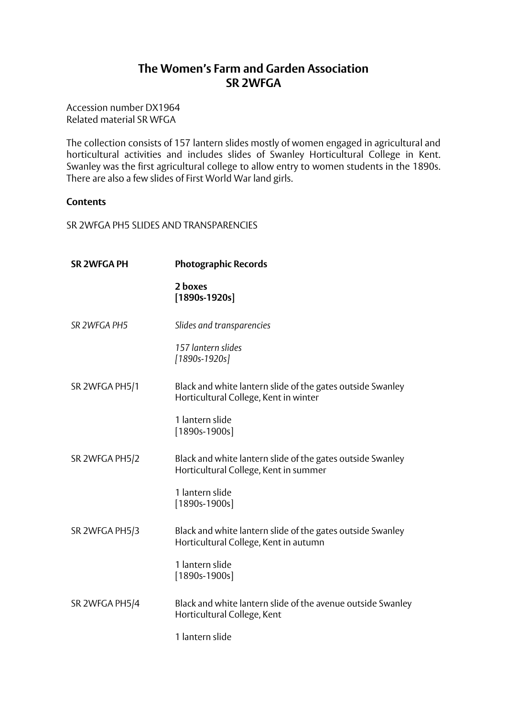## **The Women's Farm and Garden Association SR 2WFGA**

Accession number DX1964 Related material SR WFGA

The collection consists of 157 lantern slides mostly of women engaged in agricultural and horticultural activities and includes slides of Swanley Horticultural College in Kent. Swanley was the first agricultural college to allow entry to women students in the 1890s. There are also a few slides of First World War land girls.

## **Contents**

SR 2WFGA PH5 SLIDES AND TRANSPARENCIES

| <b>SR 2WFGA PH</b> | <b>Photographic Records</b>                                                                         |
|--------------------|-----------------------------------------------------------------------------------------------------|
|                    | 2 boxes<br>$[1890s-1920s]$                                                                          |
| SR 2WFGA PH5       | Slides and transparencies                                                                           |
|                    | 157 lantern slides<br>[1890s-1920s]                                                                 |
| SR 2WFGA PH5/1     | Black and white lantern slide of the gates outside Swanley<br>Horticultural College, Kent in winter |
|                    | 1 lantern slide<br>$[1890s-1900s]$                                                                  |
| SR 2WFGA PH5/2     | Black and white lantern slide of the gates outside Swanley<br>Horticultural College, Kent in summer |
|                    | 1 lantern slide<br>$[1890s-1900s]$                                                                  |
| SR 2WFGA PH5/3     | Black and white lantern slide of the gates outside Swanley<br>Horticultural College, Kent in autumn |
|                    | 1 lantern slide<br>$[1890s-1900s]$                                                                  |
| SR 2WFGA PH5/4     | Black and white lantern slide of the avenue outside Swanley<br>Horticultural College, Kent          |
|                    | 1 lantern slide                                                                                     |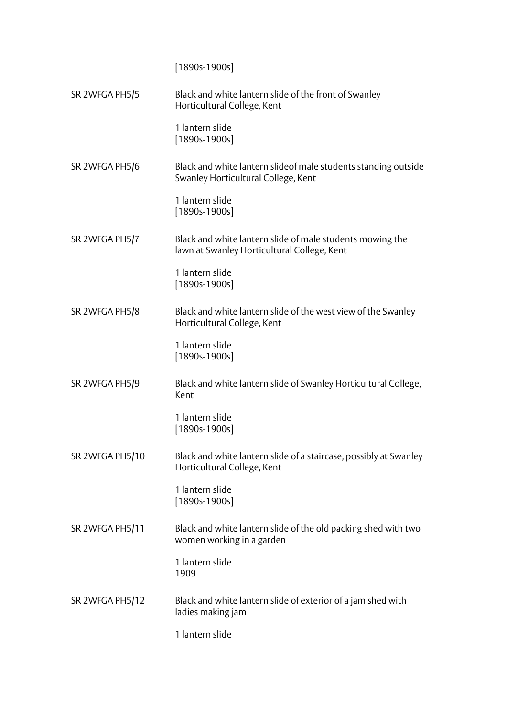[1890s-1900s] SR 2WFGA PH5/5 Black and white lantern slide of the front of Swanley Horticultural College, Kent 1 lantern slide [1890s-1900s] SR 2WFGA PH5/6 Black and white lantern slideof male students standing outside Swanley Horticultural College, Kent 1 lantern slide [1890s-1900s] SR 2WFGA PH5/7 Black and white lantern slide of male students mowing the lawn at Swanley Horticultural College, Kent 1 lantern slide [1890s-1900s] SR 2WFGA PH5/8 Black and white lantern slide of the west view of the Swanley Horticultural College, Kent 1 lantern slide [1890s-1900s] SR 2WFGA PH5/9 Black and white lantern slide of Swanley Horticultural College, Kent 1 lantern slide [1890s-1900s] SR 2WFGA PH5/10 Black and white lantern slide of a staircase, possibly at Swanley Horticultural College, Kent 1 lantern slide [1890s-1900s] SR 2WFGA PH5/11 Black and white lantern slide of the old packing shed with two women working in a garden 1 lantern slide 1909 SR 2WFGA PH5/12 Black and white lantern slide of exterior of a jam shed with ladies making jam 1 lantern slide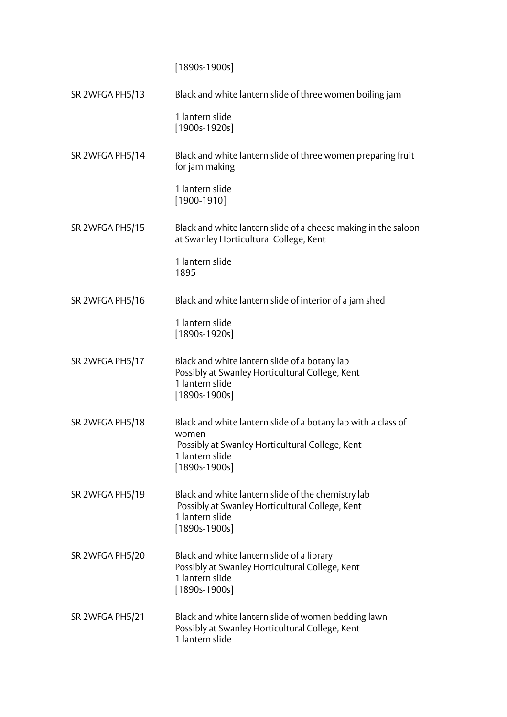[1890s-1900s]

SR 2WFGA PH5/13 Black and white lantern slide of three women boiling jam 1 lantern slide [1900s-1920s] SR 2WFGA PH5/14 Black and white lantern slide of three women preparing fruit for jam making 1 lantern slide [1900-1910] SR 2WFGA PH5/15 Black and white lantern slide of a cheese making in the saloon at Swanley Horticultural College, Kent 1 lantern slide 1895 SR 2WFGA PH5/16 Black and white lantern slide of interior of a jam shed 1 lantern slide [1890s-1920s] SR 2WFGA PH5/17 Black and white lantern slide of a botany lab Possibly at Swanley Horticultural College, Kent 1 lantern slide [1890s-1900s] SR 2WFGA PH5/18 Black and white lantern slide of a botany lab with a class of women Possibly at Swanley Horticultural College, Kent 1 lantern slide [1890s-1900s] SR 2WFGA PH5/19 Black and white lantern slide of the chemistry lab Possibly at Swanley Horticultural College, Kent 1 lantern slide [1890s-1900s] SR 2WFGA PH5/20 Black and white lantern slide of a library Possibly at Swanley Horticultural College, Kent 1 lantern slide [1890s-1900s] SR 2WFGA PH5/21 Black and white lantern slide of women bedding lawn Possibly at Swanley Horticultural College, Kent 1 lantern slide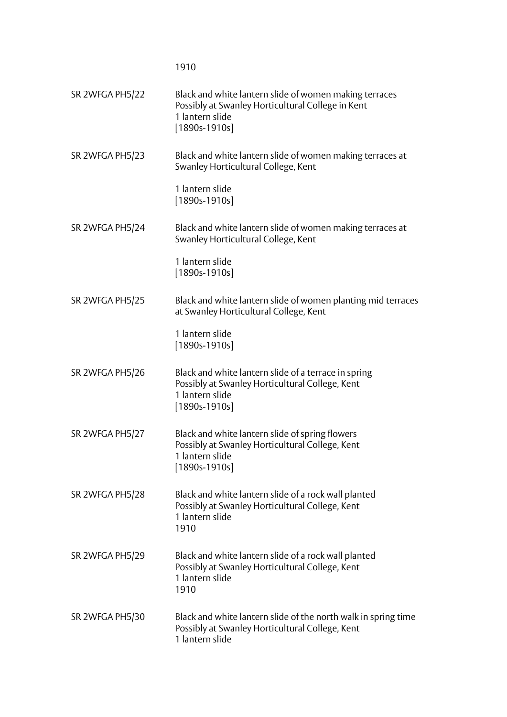1910

| SR 2WFGA PH5/22 | Black and white lantern slide of women making terraces<br>Possibly at Swanley Horticultural College in Kent<br>1 lantern slide<br>$[1890s-1910s]$ |
|-----------------|---------------------------------------------------------------------------------------------------------------------------------------------------|
| SR 2WFGA PH5/23 | Black and white lantern slide of women making terraces at<br>Swanley Horticultural College, Kent                                                  |
|                 | 1 lantern slide<br>$[1890s-1910s]$                                                                                                                |
| SR 2WFGA PH5/24 | Black and white lantern slide of women making terraces at<br>Swanley Horticultural College, Kent                                                  |
|                 | 1 lantern slide<br>$[1890s-1910s]$                                                                                                                |
| SR 2WFGA PH5/25 | Black and white lantern slide of women planting mid terraces<br>at Swanley Horticultural College, Kent                                            |
|                 | 1 lantern slide<br>$[1890s-1910s]$                                                                                                                |
| SR 2WFGA PH5/26 | Black and white lantern slide of a terrace in spring<br>Possibly at Swanley Horticultural College, Kent<br>1 lantern slide<br>$[1890s-1910s]$     |
| SR 2WFGA PH5/27 | Black and white lantern slide of spring flowers<br>Possibly at Swanley Horticultural College, Kent<br>1 lantern slide<br>$[1890s-1910s]$          |
| SR 2WFGA PH5/28 | Black and white lantern slide of a rock wall planted<br>Possibly at Swanley Horticultural College, Kent<br>1 lantern slide<br>1910                |
| SR 2WFGA PH5/29 | Black and white lantern slide of a rock wall planted<br>Possibly at Swanley Horticultural College, Kent<br>1 lantern slide<br>1910                |
| SR 2WFGA PH5/30 | Black and white lantern slide of the north walk in spring time<br>Possibly at Swanley Horticultural College, Kent<br>1 lantern slide              |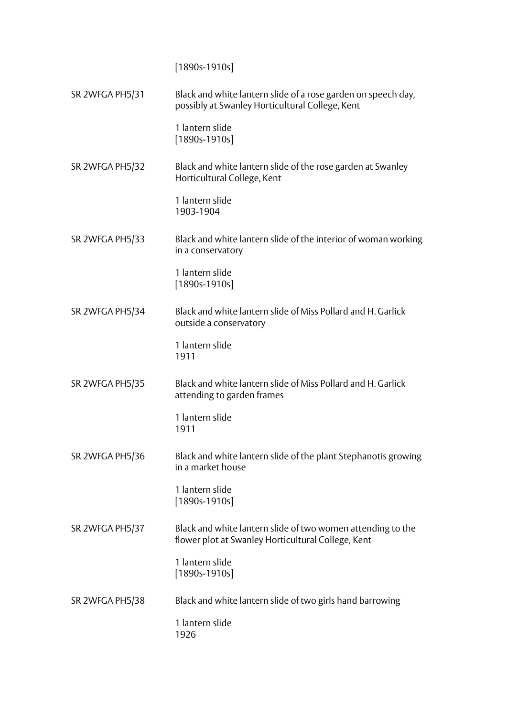[1890s-1910s]

SR 2WFGA PH5/31 Black and white lantern slide of a rose garden on speech day, possibly at Swanley Horticultural College, Kent 1 lantern slide [1890s-1910s] SR 2WFGA PH5/32 Black and white lantern slide of the rose garden at Swanley Horticultural College, Kent 1 lantern slide 1903-1904 SR 2WFGA PH5/33 Black and white lantern slide of the interior of woman working in a conservatory 1 lantern slide [1890s-1910s] SR 2WFGA PH5/34 Black and white lantern slide of Miss Pollard and H. Garlick outside a conservatory 1 lantern slide 1911 SR 2WFGA PH5/35 Black and white lantern slide of Miss Pollard and H. Garlick attending to garden frames 1 lantern slide 1911 SR 2WFGA PH5/36 Black and white lantern slide of the plant Stephanotis growing in a market house 1 lantern slide [1890s-1910s] SR 2WFGA PH5/37 Black and white lantern slide of two women attending to the flower plot at Swanley Horticultural College, Kent 1 lantern slide [1890s-1910s] SR 2WFGA PH5/38 Black and white lantern slide of two girls hand barrowing 1 lantern slide 1926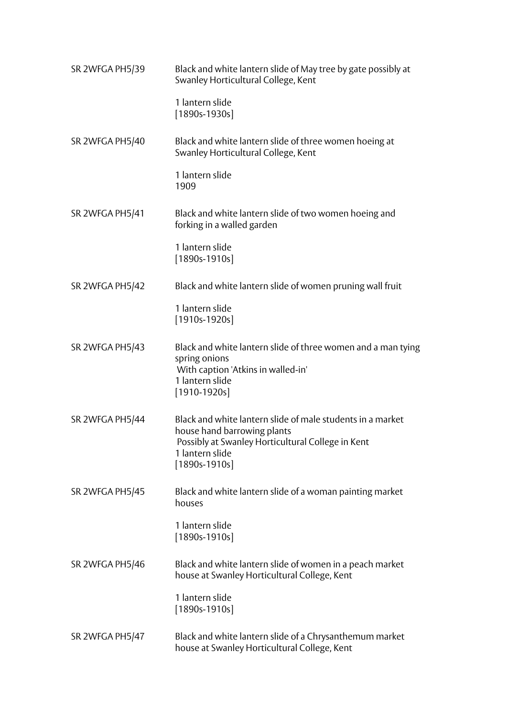| SR 2WFGA PH5/39 | Black and white lantern slide of May tree by gate possibly at<br>Swanley Horticultural College, Kent                                                                                 |
|-----------------|--------------------------------------------------------------------------------------------------------------------------------------------------------------------------------------|
|                 | 1 lantern slide<br>$[1890s-1930s]$                                                                                                                                                   |
| SR 2WFGA PH5/40 | Black and white lantern slide of three women hoeing at<br>Swanley Horticultural College, Kent                                                                                        |
|                 | 1 lantern slide<br>1909                                                                                                                                                              |
| SR 2WFGA PH5/41 | Black and white lantern slide of two women hoeing and<br>forking in a walled garden                                                                                                  |
|                 | 1 lantern slide<br>$[1890s-1910s]$                                                                                                                                                   |
| SR 2WFGA PH5/42 | Black and white lantern slide of women pruning wall fruit                                                                                                                            |
|                 | 1 lantern slide<br>$[1910s-1920s]$                                                                                                                                                   |
| SR 2WFGA PH5/43 | Black and white lantern slide of three women and a man tying<br>spring onions<br>With caption 'Atkins in walled-in'<br>1 lantern slide<br>$[1910-1920s]$                             |
| SR 2WFGA PH5/44 | Black and white lantern slide of male students in a market<br>house hand barrowing plants<br>Possibly at Swanley Horticultural College in Kent<br>1 lantern slide<br>$[1890s-1910s]$ |
| SR 2WFGA PH5/45 | Black and white lantern slide of a woman painting market<br>houses                                                                                                                   |
|                 | 1 lantern slide<br>$[1890s-1910s]$                                                                                                                                                   |
| SR 2WFGA PH5/46 | Black and white lantern slide of women in a peach market<br>house at Swanley Horticultural College, Kent                                                                             |
|                 | 1 lantern slide<br>$[1890s-1910s]$                                                                                                                                                   |
| SR 2WFGA PH5/47 | Black and white lantern slide of a Chrysanthemum market<br>house at Swanley Horticultural College, Kent                                                                              |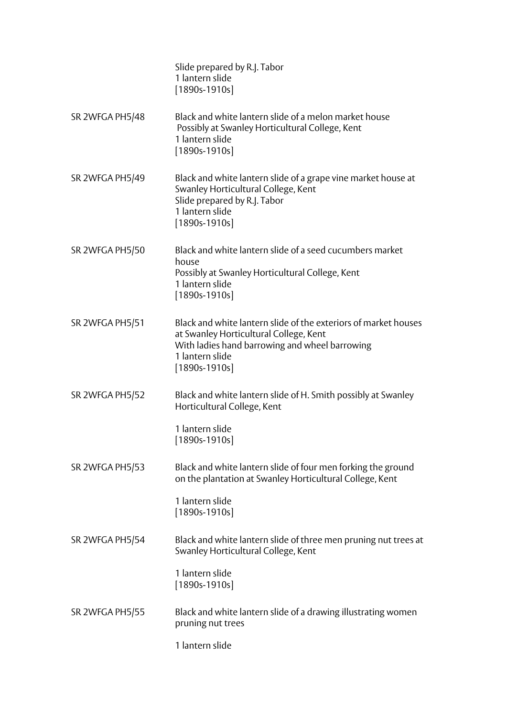|                 | Slide prepared by R.J. Tabor<br>1 lantern slide<br>$[1890s-1910s]$                                                                                                                                |
|-----------------|---------------------------------------------------------------------------------------------------------------------------------------------------------------------------------------------------|
| SR 2WFGA PH5/48 | Black and white lantern slide of a melon market house<br>Possibly at Swanley Horticultural College, Kent<br>1 lantern slide<br>$[1890s-1910s]$                                                    |
| SR 2WFGA PH5/49 | Black and white lantern slide of a grape vine market house at<br>Swanley Horticultural College, Kent<br>Slide prepared by R.J. Tabor<br>1 lantern slide<br>$[1890s-1910s]$                        |
| SR 2WFGA PH5/50 | Black and white lantern slide of a seed cucumbers market<br>house<br>Possibly at Swanley Horticultural College, Kent<br>1 lantern slide<br>$[1890s-1910s]$                                        |
| SR 2WFGA PH5/51 | Black and white lantern slide of the exteriors of market houses<br>at Swanley Horticultural College, Kent<br>With ladies hand barrowing and wheel barrowing<br>1 lantern slide<br>$[1890s-1910s]$ |
| SR 2WFGA PH5/52 | Black and white lantern slide of H. Smith possibly at Swanley<br>Horticultural College, Kent<br>1 lantern slide                                                                                   |
|                 | $[1890s-1910s]$                                                                                                                                                                                   |
| SR 2WFGA PH5/53 | Black and white lantern slide of four men forking the ground<br>on the plantation at Swanley Horticultural College, Kent                                                                          |
|                 | 1 lantern slide<br>$[1890s-1910s]$                                                                                                                                                                |
| SR 2WFGA PH5/54 | Black and white lantern slide of three men pruning nut trees at<br>Swanley Horticultural College, Kent                                                                                            |
|                 | 1 lantern slide<br>$[1890s-1910s]$                                                                                                                                                                |
| SR 2WFGA PH5/55 | Black and white lantern slide of a drawing illustrating women<br>pruning nut trees                                                                                                                |
|                 | 1 lantern slide                                                                                                                                                                                   |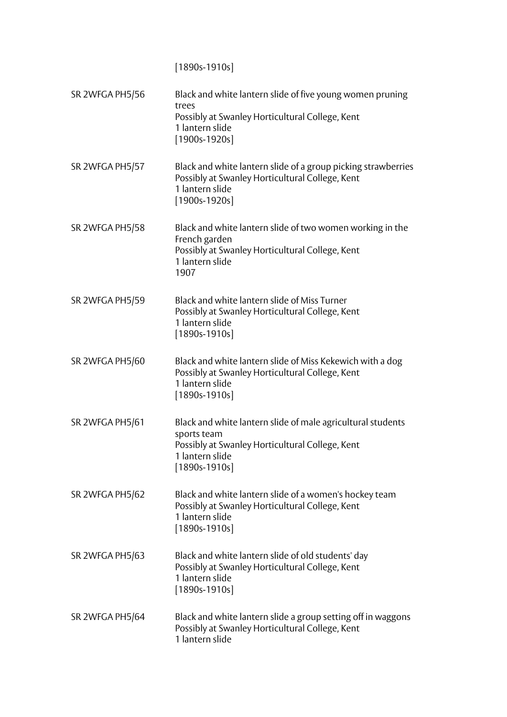[1890s-1910s]

| SR 2WFGA PH5/56 | Black and white lantern slide of five young women pruning<br>trees<br>Possibly at Swanley Horticultural College, Kent<br>1 lantern slide<br>$[1900s-1920s]$         |
|-----------------|---------------------------------------------------------------------------------------------------------------------------------------------------------------------|
| SR 2WFGA PH5/57 | Black and white lantern slide of a group picking strawberries<br>Possibly at Swanley Horticultural College, Kent<br>1 lantern slide<br>$[1900s-1920s]$              |
| SR 2WFGA PH5/58 | Black and white lantern slide of two women working in the<br>French garden<br>Possibly at Swanley Horticultural College, Kent<br>1 lantern slide<br>1907            |
| SR 2WFGA PH5/59 | Black and white lantern slide of Miss Turner<br>Possibly at Swanley Horticultural College, Kent<br>1 lantern slide<br>$[1890s-1910s]$                               |
| SR 2WFGA PH5/60 | Black and white lantern slide of Miss Kekewich with a dog<br>Possibly at Swanley Horticultural College, Kent<br>1 lantern slide<br>$[1890s-1910s]$                  |
| SR 2WFGA PH5/61 | Black and white lantern slide of male agricultural students<br>sports team<br>Possibly at Swanley Horticultural College, Kent<br>1 lantern slide<br>$[1890s-1910s]$ |
| SR 2WFGA PH5/62 | Black and white lantern slide of a women's hockey team<br>Possibly at Swanley Horticultural College, Kent<br>1 lantern slide<br>$[1890s-1910s]$                     |
| SR 2WFGA PH5/63 | Black and white lantern slide of old students' day<br>Possibly at Swanley Horticultural College, Kent<br>1 lantern slide<br>$[1890s-1910s]$                         |
| SR 2WFGA PH5/64 | Black and white lantern slide a group setting off in waggons<br>Possibly at Swanley Horticultural College, Kent<br>1 lantern slide                                  |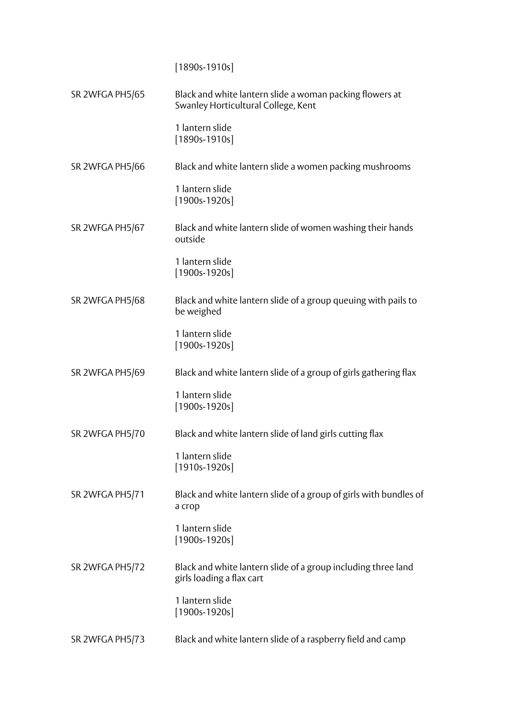[1890s-1910s]

| SR 2WFGA PH5/65 | Black and white lantern slide a woman packing flowers at<br>Swanley Horticultural College, Kent |
|-----------------|-------------------------------------------------------------------------------------------------|
|                 | 1 lantern slide<br>$[1890s-1910s]$                                                              |
| SR 2WFGA PH5/66 | Black and white lantern slide a women packing mushrooms                                         |
|                 | 1 lantern slide<br>$[1900s-1920s]$                                                              |
| SR 2WFGA PH5/67 | Black and white lantern slide of women washing their hands<br>outside                           |
|                 | 1 lantern slide<br>$[1900s-1920s]$                                                              |
| SR 2WFGA PH5/68 | Black and white lantern slide of a group queuing with pails to<br>be weighed                    |
|                 | 1 lantern slide<br>$[1900s-1920s]$                                                              |
| SR 2WFGA PH5/69 | Black and white lantern slide of a group of girls gathering flax                                |
|                 | 1 lantern slide<br>$[1900s-1920s]$                                                              |
| SR 2WFGA PH5/70 | Black and white lantern slide of land girls cutting flax                                        |
|                 | 1 lantern slide<br>$[1910s-1920s]$                                                              |
| SR 2WFGA PH5/71 | Black and white lantern slide of a group of girls with bundles of<br>a crop                     |
|                 | 1 lantern slide<br>$[1900s-1920s]$                                                              |
| SR 2WFGA PH5/72 | Black and white lantern slide of a group including three land<br>girls loading a flax cart      |
|                 | 1 lantern slide<br>$[1900s-1920s]$                                                              |
| SR 2WFGA PH5/73 | Black and white lantern slide of a raspberry field and camp                                     |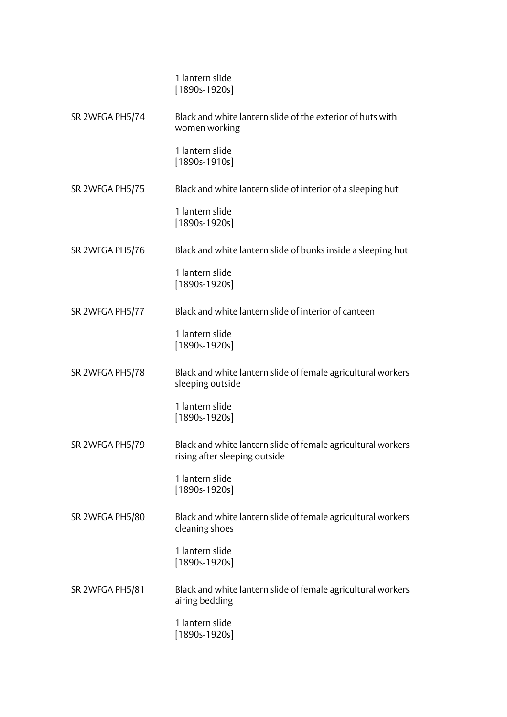|                 | 1 lantern slide<br>$[1890s-1920s]$                                                            |
|-----------------|-----------------------------------------------------------------------------------------------|
| SR 2WFGA PH5/74 | Black and white lantern slide of the exterior of huts with<br>women working                   |
|                 | 1 lantern slide<br>$[1890s-1910s]$                                                            |
| SR 2WFGA PH5/75 | Black and white lantern slide of interior of a sleeping hut                                   |
|                 | 1 lantern slide<br>$[1890s-1920s]$                                                            |
| SR 2WFGA PH5/76 | Black and white lantern slide of bunks inside a sleeping hut                                  |
|                 | 1 lantern slide<br>$[1890s-1920s]$                                                            |
| SR 2WFGA PH5/77 | Black and white lantern slide of interior of canteen                                          |
|                 | 1 lantern slide<br>$[1890s-1920s]$                                                            |
| SR 2WFGA PH5/78 | Black and white lantern slide of female agricultural workers<br>sleeping outside              |
|                 | 1 lantern slide<br>$[1890s-1920s]$                                                            |
| SR 2WFGA PH5/79 | Black and white lantern slide of female agricultural workers<br>rising after sleeping outside |
|                 | 1 lantern slide<br>$[1890s-1920s]$                                                            |
| SR 2WFGA PH5/80 | Black and white lantern slide of female agricultural workers<br>cleaning shoes                |
|                 | 1 lantern slide<br>$[1890s-1920s]$                                                            |
| SR 2WFGA PH5/81 | Black and white lantern slide of female agricultural workers<br>airing bedding                |
|                 | 1 lantern slide<br>$[1890s-1920s]$                                                            |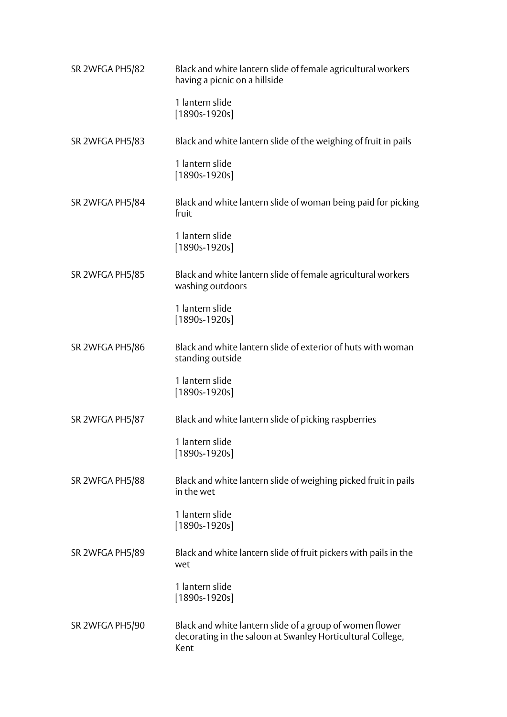| SR 2WFGA PH5/82 | Black and white lantern slide of female agricultural workers<br>having a picnic on a hillside                                  |
|-----------------|--------------------------------------------------------------------------------------------------------------------------------|
|                 | 1 lantern slide<br>$[1890s-1920s]$                                                                                             |
| SR 2WFGA PH5/83 | Black and white lantern slide of the weighing of fruit in pails                                                                |
|                 | 1 lantern slide<br>$[1890s-1920s]$                                                                                             |
| SR 2WFGA PH5/84 | Black and white lantern slide of woman being paid for picking<br>fruit                                                         |
|                 | 1 lantern slide<br>$[1890s-1920s]$                                                                                             |
| SR 2WFGA PH5/85 | Black and white lantern slide of female agricultural workers<br>washing outdoors                                               |
|                 | 1 lantern slide<br>$[1890s-1920s]$                                                                                             |
| SR 2WFGA PH5/86 | Black and white lantern slide of exterior of huts with woman<br>standing outside                                               |
|                 | 1 lantern slide<br>$[1890s-1920s]$                                                                                             |
| SR 2WFGA PH5/87 | Black and white lantern slide of picking raspberries                                                                           |
|                 | 1 lantern slide<br>$[1890s-1920s]$                                                                                             |
| SR 2WFGA PH5/88 | Black and white lantern slide of weighing picked fruit in pails<br>in the wet                                                  |
|                 | 1 lantern slide<br>$[1890s-1920s]$                                                                                             |
| SR 2WFGA PH5/89 | Black and white lantern slide of fruit pickers with pails in the<br>wet                                                        |
|                 | 1 lantern slide<br>$[1890s-1920s]$                                                                                             |
| SR 2WFGA PH5/90 | Black and white lantern slide of a group of women flower<br>decorating in the saloon at Swanley Horticultural College,<br>Kent |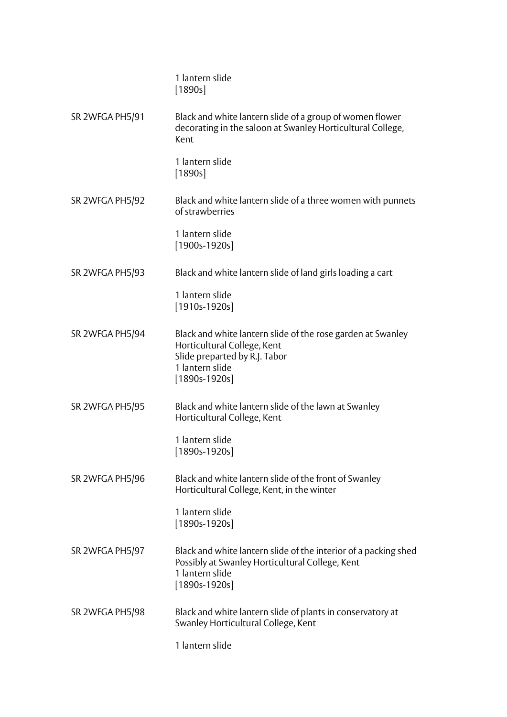|                 | 1 lantern slide<br>[1890s]                                                                                                                                        |
|-----------------|-------------------------------------------------------------------------------------------------------------------------------------------------------------------|
| SR 2WFGA PH5/91 | Black and white lantern slide of a group of women flower<br>decorating in the saloon at Swanley Horticultural College,<br>Kent                                    |
|                 | 1 lantern slide<br>[1890s]                                                                                                                                        |
| SR 2WFGA PH5/92 | Black and white lantern slide of a three women with punnets<br>of strawberries                                                                                    |
|                 | 1 lantern slide<br>$[1900s-1920s]$                                                                                                                                |
| SR 2WFGA PH5/93 | Black and white lantern slide of land girls loading a cart                                                                                                        |
|                 | 1 lantern slide<br>$[1910s-1920s]$                                                                                                                                |
| SR 2WFGA PH5/94 | Black and white lantern slide of the rose garden at Swanley<br>Horticultural College, Kent<br>Slide preparted by R.J. Tabor<br>1 lantern slide<br>$[1890s-1920s]$ |
| SR 2WFGA PH5/95 | Black and white lantern slide of the lawn at Swanley<br>Horticultural College, Kent                                                                               |
|                 | 1 lantern slide<br>$[1890s-1920s]$                                                                                                                                |
| SR 2WFGA PH5/96 | Black and white lantern slide of the front of Swanley<br>Horticultural College, Kent, in the winter                                                               |
|                 | 1 lantern slide<br>$[1890s-1920s]$                                                                                                                                |
| SR 2WFGA PH5/97 | Black and white lantern slide of the interior of a packing shed<br>Possibly at Swanley Horticultural College, Kent<br>1 lantern slide<br>$[1890s-1920s]$          |
| SR 2WFGA PH5/98 | Black and white lantern slide of plants in conservatory at<br>Swanley Horticultural College, Kent                                                                 |
|                 | 1 lantern slide                                                                                                                                                   |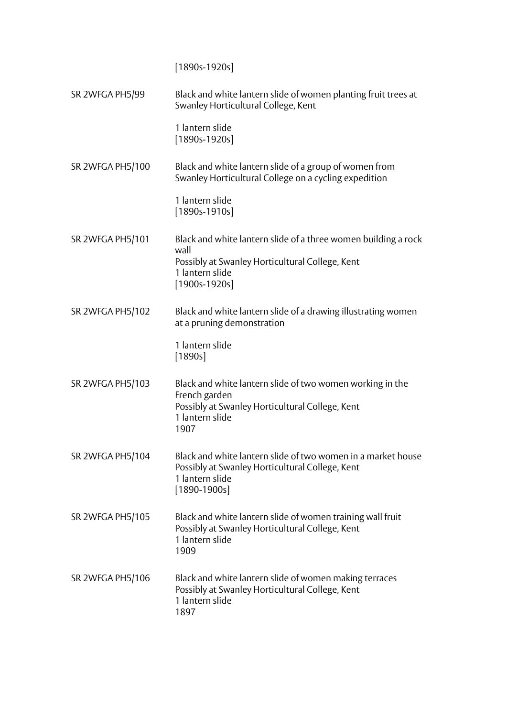[1890s-1920s]

| SR 2WFGA PH5/99  | Black and white lantern slide of women planting fruit trees at<br>Swanley Horticultural College, Kent                                                |
|------------------|------------------------------------------------------------------------------------------------------------------------------------------------------|
|                  | 1 lantern slide<br>$[1890s-1920s]$                                                                                                                   |
| SR 2WFGA PH5/100 | Black and white lantern slide of a group of women from<br>Swanley Horticultural College on a cycling expedition                                      |
|                  | 1 lantern slide<br>$[1890s-1910s]$                                                                                                                   |
| SR 2WFGA PH5/101 | Black and white lantern slide of a three women building a rock<br>wall                                                                               |
|                  | Possibly at Swanley Horticultural College, Kent<br>1 lantern slide<br>$[1900s-1920s]$                                                                |
| SR 2WFGA PH5/102 | Black and white lantern slide of a drawing illustrating women<br>at a pruning demonstration                                                          |
|                  | 1 lantern slide<br>[1890s]                                                                                                                           |
| SR 2WFGA PH5/103 | Black and white lantern slide of two women working in the<br>French garden<br>Possibly at Swanley Horticultural College, Kent                        |
|                  | 1 lantern slide<br>1907                                                                                                                              |
| SR 2WFGA PH5/104 | Black and white lantern slide of two women in a market house<br>Possibly at Swanley Horticultural College, Kent<br>1 lantern slide<br>$[1890-1900s]$ |
| SR 2WFGA PH5/105 | Black and white lantern slide of women training wall fruit<br>Possibly at Swanley Horticultural College, Kent<br>1 lantern slide<br>1909             |
| SR 2WFGA PH5/106 | Black and white lantern slide of women making terraces<br>Possibly at Swanley Horticultural College, Kent<br>1 lantern slide<br>1897                 |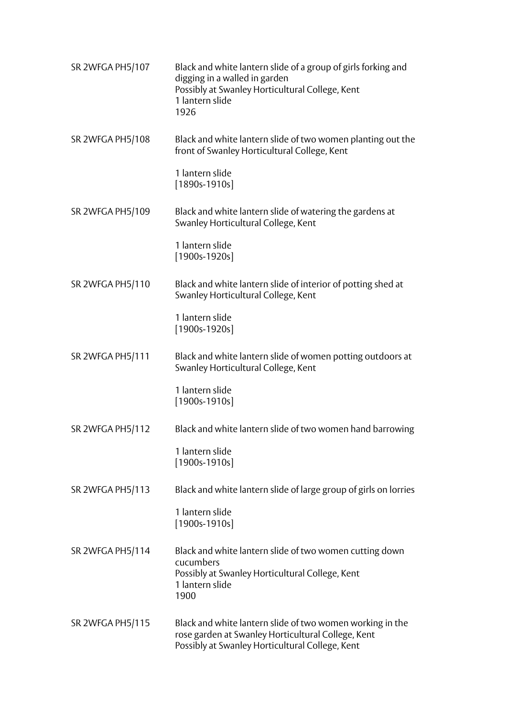| SR 2WFGA PH5/107 | Black and white lantern slide of a group of girls forking and<br>digging in a walled in garden<br>Possibly at Swanley Horticultural College, Kent<br>1 lantern slide<br>1926 |
|------------------|------------------------------------------------------------------------------------------------------------------------------------------------------------------------------|
| SR 2WFGA PH5/108 | Black and white lantern slide of two women planting out the<br>front of Swanley Horticultural College, Kent                                                                  |
|                  | 1 lantern slide<br>$[1890s-1910s]$                                                                                                                                           |
| SR 2WFGA PH5/109 | Black and white lantern slide of watering the gardens at<br>Swanley Horticultural College, Kent                                                                              |
|                  | 1 lantern slide<br>$[1900s-1920s]$                                                                                                                                           |
| SR 2WFGA PH5/110 | Black and white lantern slide of interior of potting shed at<br>Swanley Horticultural College, Kent                                                                          |
|                  | 1 lantern slide<br>$[1900s-1920s]$                                                                                                                                           |
| SR 2WFGA PH5/111 | Black and white lantern slide of women potting outdoors at<br>Swanley Horticultural College, Kent                                                                            |
|                  | 1 lantern slide<br>$[1900s-1910s]$                                                                                                                                           |
| SR 2WFGA PH5/112 | Black and white lantern slide of two women hand barrowing                                                                                                                    |
|                  | 1 lantern slide<br>$[1900s-1910s]$                                                                                                                                           |
| SR 2WFGA PH5/113 | Black and white lantern slide of large group of girls on lorries                                                                                                             |
|                  | 1 lantern slide<br>$[1900s-1910s]$                                                                                                                                           |
| SR 2WFGA PH5/114 | Black and white lantern slide of two women cutting down<br>cucumbers<br>Possibly at Swanley Horticultural College, Kent<br>1 lantern slide<br>1900                           |
| SR 2WFGA PH5/115 | Black and white lantern slide of two women working in the<br>rose garden at Swanley Horticultural College, Kent<br>Possibly at Swanley Horticultural College, Kent           |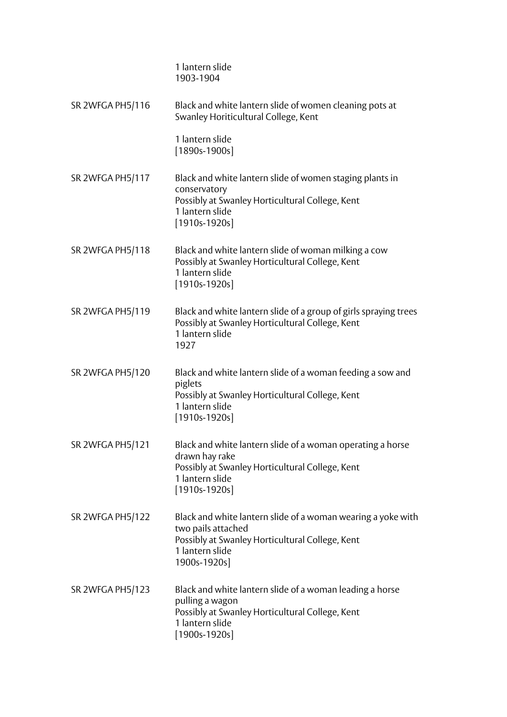|                  | 1 lantern slide<br>1903-1904                                                                                                                                             |
|------------------|--------------------------------------------------------------------------------------------------------------------------------------------------------------------------|
| SR 2WFGA PH5/116 | Black and white lantern slide of women cleaning pots at<br>Swanley Horiticultural College, Kent                                                                          |
|                  | 1 lantern slide<br>$[1890s-1900s]$                                                                                                                                       |
| SR 2WFGA PH5/117 | Black and white lantern slide of women staging plants in<br>conservatory<br>Possibly at Swanley Horticultural College, Kent<br>1 lantern slide<br>$[1910s-1920s]$        |
| SR 2WFGA PH5/118 | Black and white lantern slide of woman milking a cow<br>Possibly at Swanley Horticultural College, Kent<br>1 lantern slide<br>$[1910s-1920s]$                            |
| SR 2WFGA PH5/119 | Black and white lantern slide of a group of girls spraying trees<br>Possibly at Swanley Horticultural College, Kent<br>1 lantern slide<br>1927                           |
| SR 2WFGA PH5/120 | Black and white lantern slide of a woman feeding a sow and<br>piglets<br>Possibly at Swanley Horticultural College, Kent<br>1 lantern slide<br>$[1910s-1920s]$           |
| SR 2WFGA PH5/121 | Black and white lantern slide of a woman operating a horse<br>drawn hay rake<br>Possibly at Swanley Horticultural College, Kent<br>1 lantern slide<br>$[1910s-1920s]$    |
| SR 2WFGA PH5/122 | Black and white lantern slide of a woman wearing a yoke with<br>two pails attached<br>Possibly at Swanley Horticultural College, Kent<br>1 lantern slide<br>1900s-1920s] |
| SR 2WFGA PH5/123 | Black and white lantern slide of a woman leading a horse<br>pulling a wagon<br>Possibly at Swanley Horticultural College, Kent<br>1 lantern slide<br>$[1900s-1920s]$     |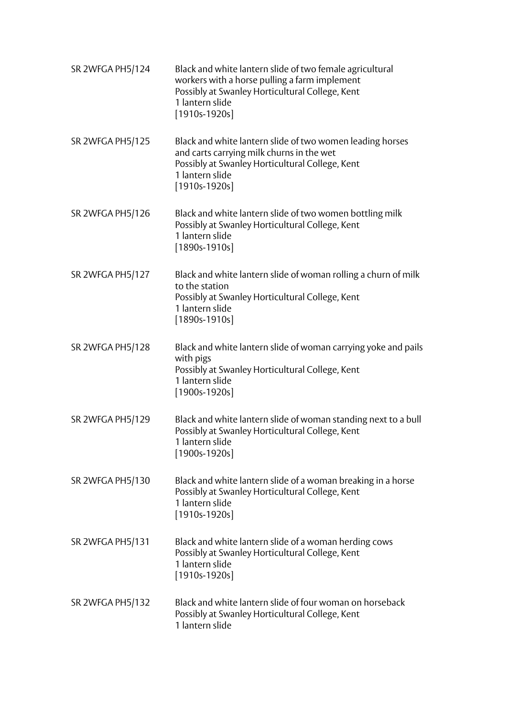| SR 2WFGA PH5/124 | Black and white lantern slide of two female agricultural<br>workers with a horse pulling a farm implement<br>Possibly at Swanley Horticultural College, Kent<br>1 lantern slide<br>$[1910s-1920s]$ |
|------------------|----------------------------------------------------------------------------------------------------------------------------------------------------------------------------------------------------|
| SR 2WFGA PH5/125 | Black and white lantern slide of two women leading horses<br>and carts carrying milk churns in the wet<br>Possibly at Swanley Horticultural College, Kent<br>1 lantern slide<br>$[1910s-1920s]$    |
| SR 2WFGA PH5/126 | Black and white lantern slide of two women bottling milk<br>Possibly at Swanley Horticultural College, Kent<br>1 lantern slide<br>$[1890s-1910s]$                                                  |
| SR 2WFGA PH5/127 | Black and white lantern slide of woman rolling a churn of milk<br>to the station<br>Possibly at Swanley Horticultural College, Kent<br>1 lantern slide<br>$[1890s-1910s]$                          |
| SR 2WFGA PH5/128 | Black and white lantern slide of woman carrying yoke and pails<br>with pigs<br>Possibly at Swanley Horticultural College, Kent<br>1 lantern slide<br>$[1900s-1920s]$                               |
| SR 2WFGA PH5/129 | Black and white lantern slide of woman standing next to a bull<br>Possibly at Swanley Horticultural College, Kent<br>1 lantern slide<br>$[1900s-1920s]$                                            |
| SR 2WFGA PH5/130 | Black and white lantern slide of a woman breaking in a horse<br>Possibly at Swanley Horticultural College, Kent<br>1 lantern slide<br>$[1910s-1920s]$                                              |
| SR 2WFGA PH5/131 | Black and white lantern slide of a woman herding cows<br>Possibly at Swanley Horticultural College, Kent<br>1 lantern slide<br>$[1910s-1920s]$                                                     |
| SR 2WFGA PH5/132 | Black and white lantern slide of four woman on horseback<br>Possibly at Swanley Horticultural College, Kent<br>1 lantern slide                                                                     |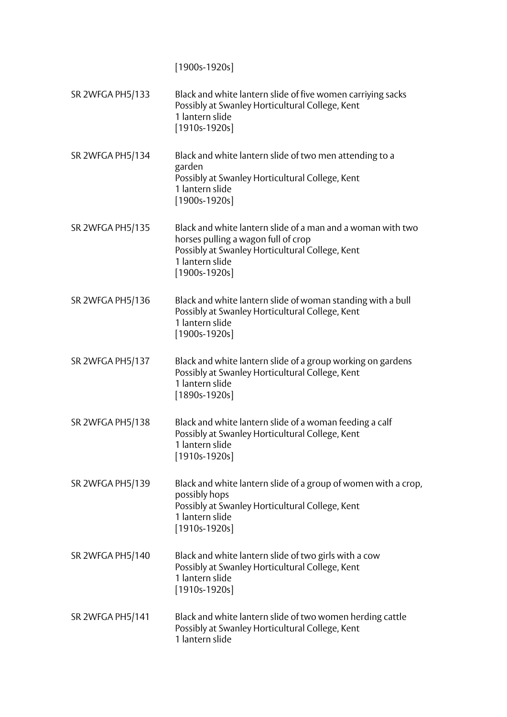[1900s-1920s]

| SR 2WFGA PH5/133 | Black and white lantern slide of five women carriying sacks<br>Possibly at Swanley Horticultural College, Kent<br>1 lantern slide<br>$[1910s-1920s]$                                        |
|------------------|---------------------------------------------------------------------------------------------------------------------------------------------------------------------------------------------|
| SR 2WFGA PH5/134 | Black and white lantern slide of two men attending to a<br>garden<br>Possibly at Swanley Horticultural College, Kent<br>1 lantern slide<br>$[1900s-1920s]$                                  |
| SR 2WFGA PH5/135 | Black and white lantern slide of a man and a woman with two<br>horses pulling a wagon full of crop<br>Possibly at Swanley Horticultural College, Kent<br>1 lantern slide<br>$[1900s-1920s]$ |
| SR 2WFGA PH5/136 | Black and white lantern slide of woman standing with a bull<br>Possibly at Swanley Horticultural College, Kent<br>1 lantern slide<br>$[1900s-1920s]$                                        |
| SR 2WFGA PH5/137 | Black and white lantern slide of a group working on gardens<br>Possibly at Swanley Horticultural College, Kent<br>1 lantern slide<br>$[1890s-1920s]$                                        |
| SR 2WFGA PH5/138 | Black and white lantern slide of a woman feeding a calf<br>Possibly at Swanley Horticultural College, Kent<br>1 lantern slide<br>$[1910s-1920s]$                                            |
| SR 2WFGA PH5/139 | Black and white lantern slide of a group of women with a crop,<br>possibly hops<br>Possibly at Swanley Horticultural College, Kent<br>1 lantern slide<br>$[1910s-1920s]$                    |
| SR 2WFGA PH5/140 | Black and white lantern slide of two girls with a cow<br>Possibly at Swanley Horticultural College, Kent<br>1 lantern slide<br>$[1910s-1920s]$                                              |
| SR 2WFGA PH5/141 | Black and white lantern slide of two women herding cattle<br>Possibly at Swanley Horticultural College, Kent<br>1 lantern slide                                                             |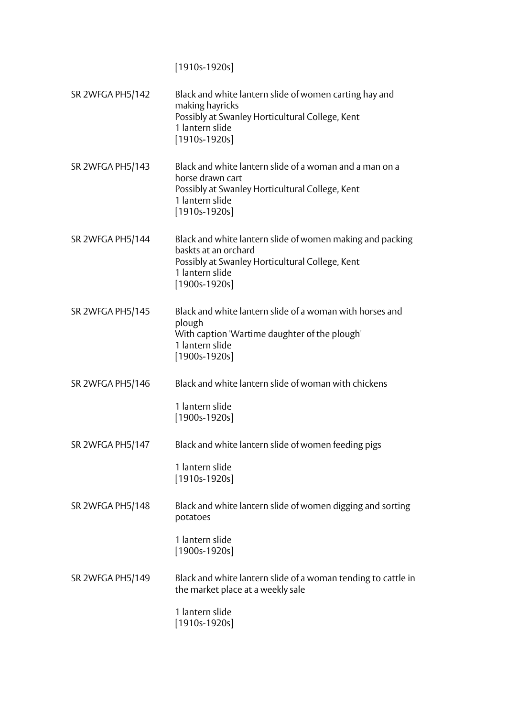[1910s-1920s]

| SR 2WFGA PH5/142 | Black and white lantern slide of women carting hay and<br>making hayricks<br>Possibly at Swanley Horticultural College, Kent<br>1 lantern slide<br>$[1910s-1920s]$         |
|------------------|----------------------------------------------------------------------------------------------------------------------------------------------------------------------------|
| SR 2WFGA PH5/143 | Black and white lantern slide of a woman and a man on a<br>horse drawn cart<br>Possibly at Swanley Horticultural College, Kent<br>1 lantern slide<br>$[1910s-1920s]$       |
| SR 2WFGA PH5/144 | Black and white lantern slide of women making and packing<br>baskts at an orchard<br>Possibly at Swanley Horticultural College, Kent<br>1 lantern slide<br>$[1900s-1920s]$ |
| SR 2WFGA PH5/145 | Black and white lantern slide of a woman with horses and<br>plough<br>With caption 'Wartime daughter of the plough'<br>1 lantern slide<br>$[1900s-1920s]$                  |
| SR 2WFGA PH5/146 | Black and white lantern slide of woman with chickens<br>1 lantern slide<br>$[1900s-1920s]$                                                                                 |
| SR 2WFGA PH5/147 | Black and white lantern slide of women feeding pigs<br>1 lantern slide<br>$[1910s-1920s]$                                                                                  |
| SR 2WFGA PH5/148 | Black and white lantern slide of women digging and sorting<br>potatoes<br>1 lantern slide<br>$[1900s-1920s]$                                                               |
| SR 2WFGA PH5/149 | Black and white lantern slide of a woman tending to cattle in<br>the market place at a weekly sale<br>1 lantern slide<br>[1910s-1920s]                                     |